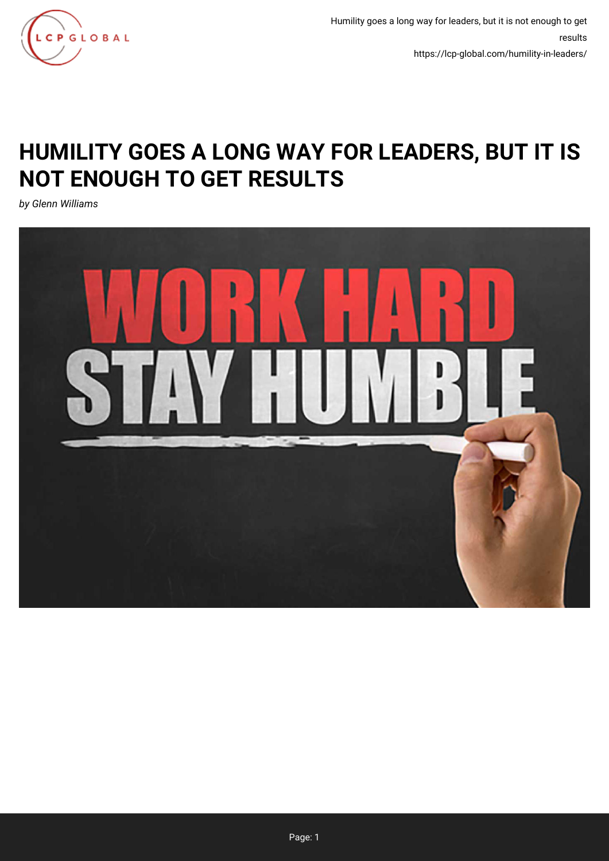

Humility goes a long way for leaders, but it is not enough to get results https://lcp-global.com/humility-in-leaders/

## **HUMILITY GOES A LONG WAY FOR LEADERS, BUT IT IS NOT ENOUGH TO GET RESULTS**

*by Glenn Williams*

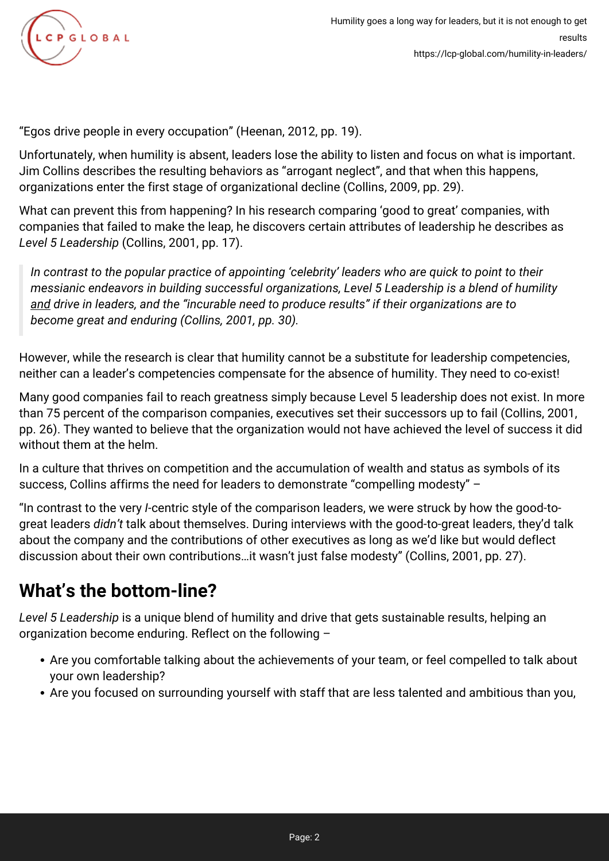

"Egos drive people in every occupation" (Heenan, 2012, pp. 19).

Unfortunately, when humility is absent, leaders lose the ability to listen and focus on what is important. Jim Collins describes the resulting behaviors as "arrogant neglect", and that when this happens, organizations enter the first stage of organizational decline (Collins, 2009, pp. 29).

What can prevent this from happening? In his research comparing 'good to great' companies, with companies that failed to make the leap, he discovers certain attributes of leadership he describes as *Level 5 Leadership* (Collins, 2001, pp. 17).

*In contrast to the popular practice of appointing 'celebrity' leaders who are quick to point to their messianic endeavors in building successful organizations, Level 5 Leadership is a blend of humility and drive in leaders, and the "incurable need to produce results" if their organizations are to become great and enduring (Collins, 2001, pp. 30).*

However, while the research is clear that humility cannot be a substitute for leadership competencies, neither can a leader's competencies compensate for the absence of humility. They need to co-exist!

Many good companies fail to reach greatness simply because Level 5 leadership does not exist. In more than 75 percent of the comparison companies, executives set their successors up to fail (Collins, 2001, pp. 26). They wanted to believe that the organization would not have achieved the level of success it did without them at the helm.

In a culture that thrives on competition and the accumulation of wealth and status as symbols of its success, Collins affirms the need for leaders to demonstrate "compelling modesty" –

"In contrast to the very *I-*centric style of the comparison leaders, we were struck by how the good-togreat leaders *didn't* talk about themselves. During interviews with the good-to-great leaders, they'd talk about the company and the contributions of other executives as long as we'd like but would deflect discussion about their own contributions…it wasn't just false modesty" (Collins, 2001, pp. 27).

## **What's the bottom-line?**

*Level 5 Leadership* is a unique blend of humility and drive that gets sustainable results, helping an organization become enduring. Reflect on the following –

- Are you comfortable talking about the achievements of your team, or feel compelled to talk about your own leadership?
- Are you focused on surrounding yourself with staff that are less talented and ambitious than you,